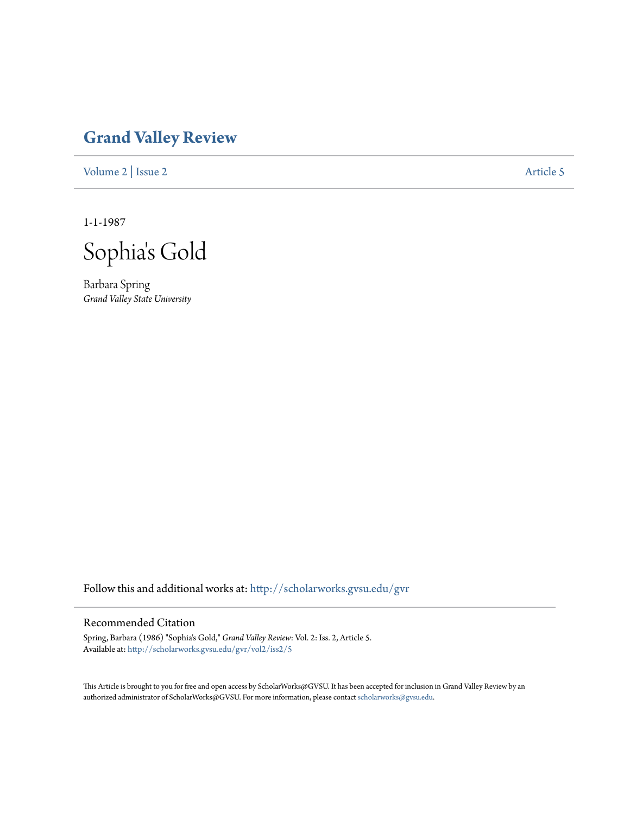## **[Grand Valley Review](http://scholarworks.gvsu.edu/gvr?utm_source=scholarworks.gvsu.edu%2Fgvr%2Fvol2%2Fiss2%2F5&utm_medium=PDF&utm_campaign=PDFCoverPages)**

[Volume 2](http://scholarworks.gvsu.edu/gvr/vol2?utm_source=scholarworks.gvsu.edu%2Fgvr%2Fvol2%2Fiss2%2F5&utm_medium=PDF&utm_campaign=PDFCoverPages) | [Issue 2](http://scholarworks.gvsu.edu/gvr/vol2/iss2?utm_source=scholarworks.gvsu.edu%2Fgvr%2Fvol2%2Fiss2%2F5&utm_medium=PDF&utm_campaign=PDFCoverPages) [Article 5](http://scholarworks.gvsu.edu/gvr/vol2/iss2/5?utm_source=scholarworks.gvsu.edu%2Fgvr%2Fvol2%2Fiss2%2F5&utm_medium=PDF&utm_campaign=PDFCoverPages)

1-1-1987

Sophia 's Gold

Barbara Spring *Grand Valley State University*

Follow this and additional works at: [http://scholarworks.gvsu.edu/gvr](http://scholarworks.gvsu.edu/gvr?utm_source=scholarworks.gvsu.edu%2Fgvr%2Fvol2%2Fiss2%2F5&utm_medium=PDF&utm_campaign=PDFCoverPages)

## Recommended Citation

Spring, Barbara (1986) "Sophia's Gold," *Grand Valley Review*: Vol. 2: Iss. 2, Article 5. Available at: [http://scholarworks.gvsu.edu/gvr/vol2/iss2/5](http://scholarworks.gvsu.edu/gvr/vol2/iss2/5?utm_source=scholarworks.gvsu.edu%2Fgvr%2Fvol2%2Fiss2%2F5&utm_medium=PDF&utm_campaign=PDFCoverPages)

This Article is brought to you for free and open access by ScholarWorks@GVSU. It has been accepted for inclusion in Grand Valley Review by an authorized administrator of ScholarWorks@GVSU. For more information, please contact [scholarworks@gvsu.edu.](mailto:scholarworks@gvsu.edu)